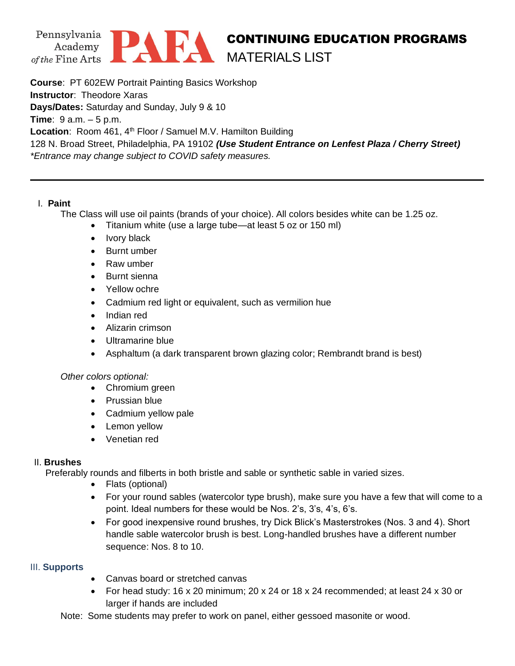

# CONTINUING EDUCATION PROGRAMS MATERIALS LIST

**Course**: PT 602EW Portrait Painting Basics Workshop **Instructor**: Theodore Xaras **Days/Dates:** Saturday and Sunday, July 9 & 10 **Time**: 9 a.m. – 5 p.m. Location: Room 461, 4<sup>th</sup> Floor / Samuel M.V. Hamilton Building 128 N. Broad Street, Philadelphia, PA 19102 *(Use Student Entrance on Lenfest Plaza / Cherry Street) \*Entrance may change subject to COVID safety measures.*

## I. **Paint**

The Class will use oil paints (brands of your choice). All colors besides white can be 1.25 oz.

- Titanium white (use a large tube—at least 5 oz or 150 ml)
- Ivory black
- Burnt umber
- Raw umber
- Burnt sienna
- Yellow ochre
- Cadmium red light or equivalent, such as vermilion hue
- Indian red
- Alizarin crimson
- Ultramarine blue
- Asphaltum (a dark transparent brown glazing color; Rembrandt brand is best)

#### *Other colors optional:*

- Chromium green
- Prussian blue
- Cadmium yellow pale
- Lemon yellow
- Venetian red

#### II. **Brushes**

Preferably rounds and filberts in both bristle and sable or synthetic sable in varied sizes.

- Flats (optional)
- For your round sables (watercolor type brush), make sure you have a few that will come to a point. Ideal numbers for these would be Nos. 2's, 3's, 4's, 6's.
- For good inexpensive round brushes, try Dick Blick's Masterstrokes (Nos. 3 and 4). Short handle sable watercolor brush is best. Long-handled brushes have a different number sequence: Nos. 8 to 10.

#### III. **Supports**

- Canvas board or stretched canvas
- For head study: 16 x 20 minimum; 20 x 24 or 18 x 24 recommended; at least 24 x 30 or larger if hands are included
- Note: Some students may prefer to work on panel, either gessoed masonite or wood.